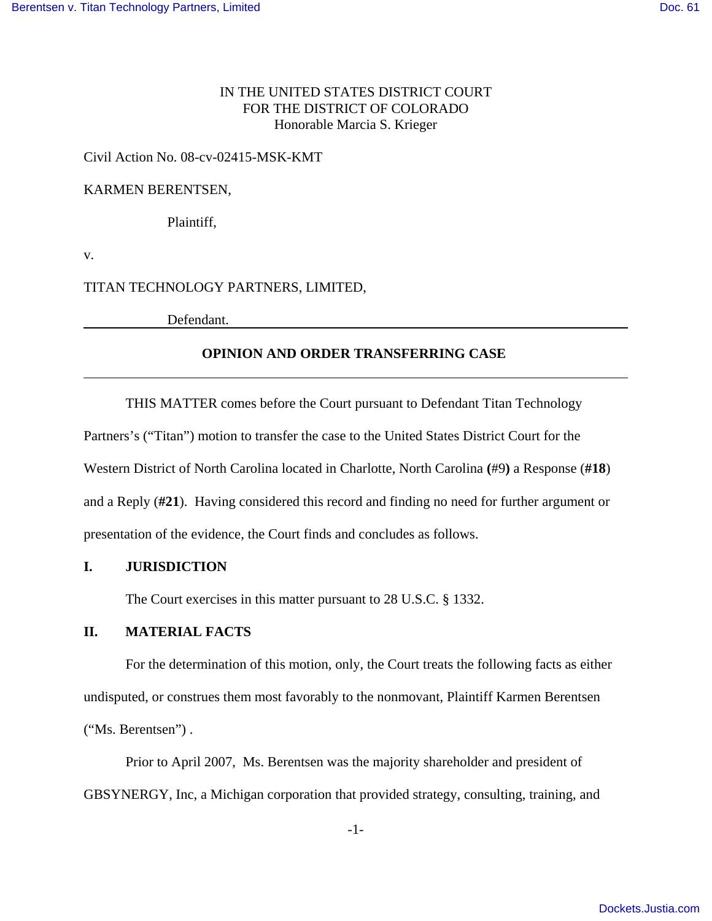# IN THE UNITED STATES DISTRICT COURT FOR THE DISTRICT OF COLORADO Honorable Marcia S. Krieger

### Civil Action No. 08-cv-02415-MSK-KMT

#### KARMEN BERENTSEN,

Plaintiff,

v.

# TITAN TECHNOLOGY PARTNERS, LIMITED,

Defendant.

## **OPINION AND ORDER TRANSFERRING CASE**

THIS MATTER comes before the Court pursuant to Defendant Titan Technology

Partners's ("Titan") motion to transfer the case to the United States District Court for the

Western District of North Carolina located in Charlotte, North Carolina **(**#9**)** a Response (**#18**)

and a Reply (**#21**). Having considered this record and finding no need for further argument or

presentation of the evidence, the Court finds and concludes as follows.

### **I. JURISDICTION**

The Court exercises in this matter pursuant to 28 U.S.C. § 1332.

# **II. MATERIAL FACTS**

For the determination of this motion, only, the Court treats the following facts as either undisputed, or construes them most favorably to the nonmovant, Plaintiff Karmen Berentsen ("Ms. Berentsen") .

Prior to April 2007, Ms. Berentsen was the majority shareholder and president of GBSYNERGY, Inc, a Michigan corporation that provided strategy, consulting, training, and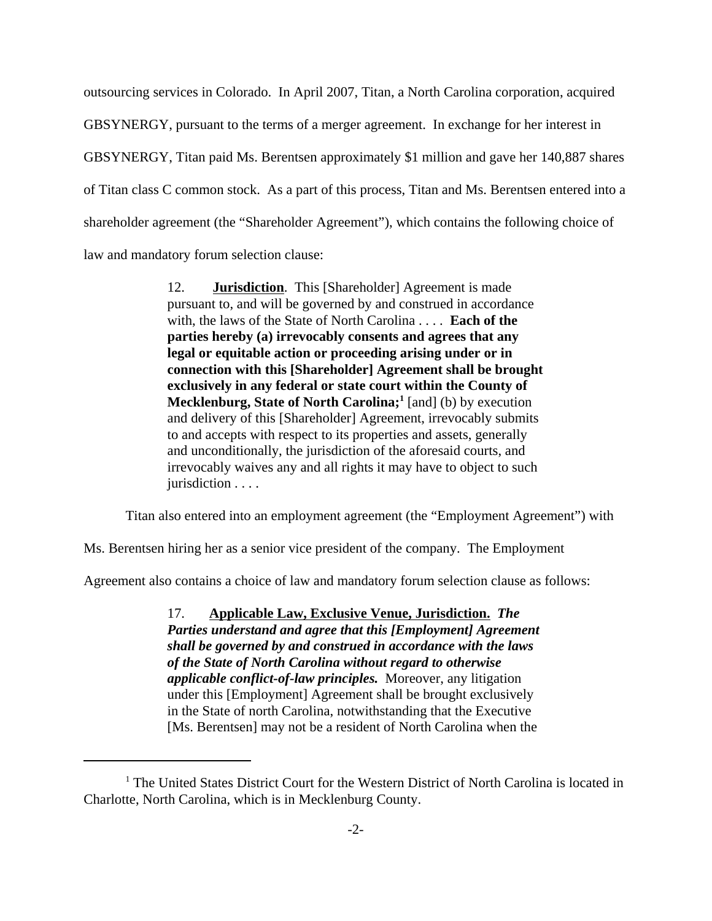outsourcing services in Colorado. In April 2007, Titan, a North Carolina corporation, acquired GBSYNERGY, pursuant to the terms of a merger agreement. In exchange for her interest in GBSYNERGY, Titan paid Ms. Berentsen approximately \$1 million and gave her 140,887 shares of Titan class C common stock. As a part of this process, Titan and Ms. Berentsen entered into a shareholder agreement (the "Shareholder Agreement"), which contains the following choice of law and mandatory forum selection clause:

> 12. **Jurisdiction**. This [Shareholder] Agreement is made pursuant to, and will be governed by and construed in accordance with, the laws of the State of North Carolina . . . . **Each of the parties hereby (a) irrevocably consents and agrees that any legal or equitable action or proceeding arising under or in connection with this [Shareholder] Agreement shall be brought exclusively in any federal or state court within the County of Mecklenburg, State of North Carolina;**<sup>1</sup> [and] (b) by execution and delivery of this [Shareholder] Agreement, irrevocably submits to and accepts with respect to its properties and assets, generally and unconditionally, the jurisdiction of the aforesaid courts, and irrevocably waives any and all rights it may have to object to such jurisdiction . . . .

Titan also entered into an employment agreement (the "Employment Agreement") with

Ms. Berentsen hiring her as a senior vice president of the company. The Employment

Agreement also contains a choice of law and mandatory forum selection clause as follows:

17. **Applicable Law, Exclusive Venue, Jurisdiction.** *The Parties understand and agree that this [Employment] Agreement shall be governed by and construed in accordance with the laws of the State of North Carolina without regard to otherwise applicable conflict-of-law principles.* Moreover, any litigation under this [Employment] Agreement shall be brought exclusively in the State of north Carolina, notwithstanding that the Executive [Ms. Berentsen] may not be a resident of North Carolina when the

<sup>&</sup>lt;sup>1</sup> The United States District Court for the Western District of North Carolina is located in Charlotte, North Carolina, which is in Mecklenburg County.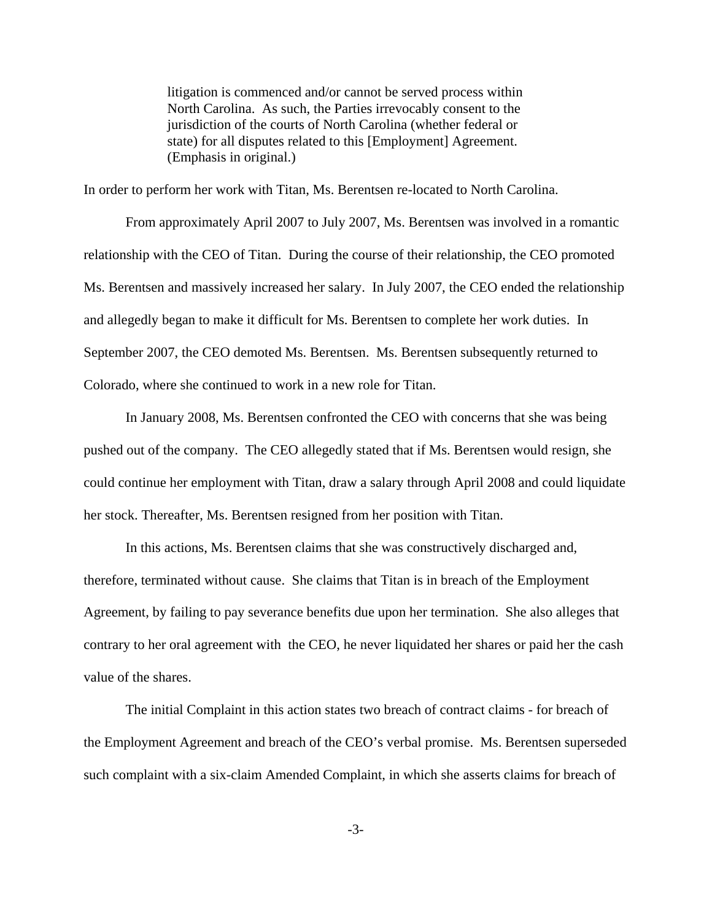litigation is commenced and/or cannot be served process within North Carolina. As such, the Parties irrevocably consent to the jurisdiction of the courts of North Carolina (whether federal or state) for all disputes related to this [Employment] Agreement. (Emphasis in original.)

In order to perform her work with Titan, Ms. Berentsen re-located to North Carolina.

From approximately April 2007 to July 2007, Ms. Berentsen was involved in a romantic relationship with the CEO of Titan. During the course of their relationship, the CEO promoted Ms. Berentsen and massively increased her salary. In July 2007, the CEO ended the relationship and allegedly began to make it difficult for Ms. Berentsen to complete her work duties. In September 2007, the CEO demoted Ms. Berentsen. Ms. Berentsen subsequently returned to Colorado, where she continued to work in a new role for Titan.

In January 2008, Ms. Berentsen confronted the CEO with concerns that she was being pushed out of the company. The CEO allegedly stated that if Ms. Berentsen would resign, she could continue her employment with Titan, draw a salary through April 2008 and could liquidate her stock. Thereafter, Ms. Berentsen resigned from her position with Titan.

In this actions, Ms. Berentsen claims that she was constructively discharged and, therefore, terminated without cause. She claims that Titan is in breach of the Employment Agreement, by failing to pay severance benefits due upon her termination. She also alleges that contrary to her oral agreement with the CEO, he never liquidated her shares or paid her the cash value of the shares.

The initial Complaint in this action states two breach of contract claims - for breach of the Employment Agreement and breach of the CEO's verbal promise. Ms. Berentsen superseded such complaint with a six-claim Amended Complaint, in which she asserts claims for breach of

-3-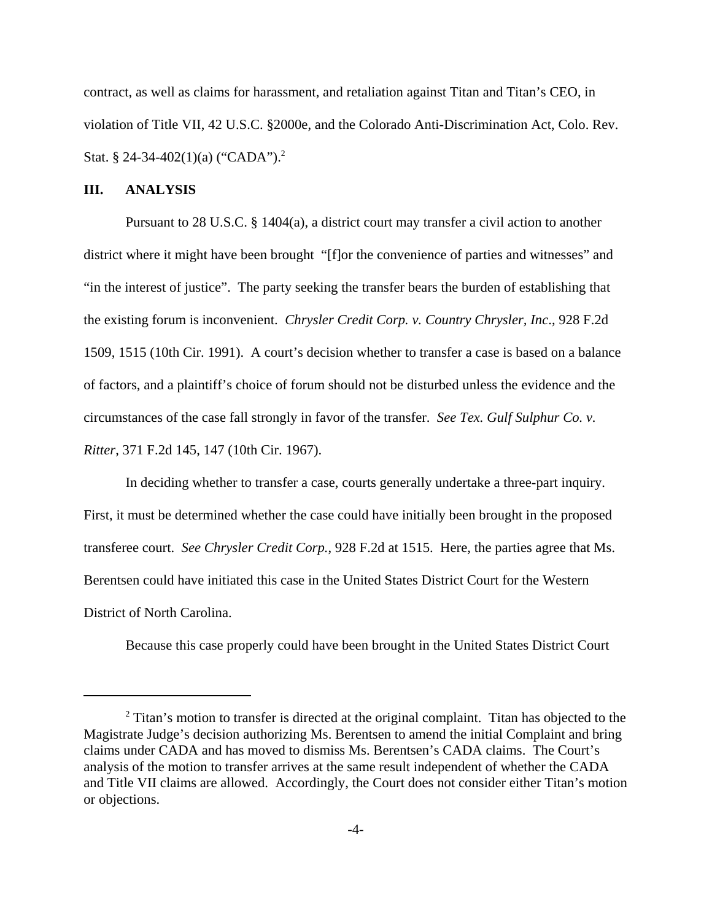contract, as well as claims for harassment, and retaliation against Titan and Titan's CEO, in violation of Title VII, 42 U.S.C. §2000e, and the Colorado Anti-Discrimination Act, Colo. Rev. Stat. § 24-34-402(1)(a) ("CADA").<sup>2</sup>

#### **III. ANALYSIS**

Pursuant to 28 U.S.C. § 1404(a), a district court may transfer a civil action to another district where it might have been brought "[f]or the convenience of parties and witnesses" and "in the interest of justice". The party seeking the transfer bears the burden of establishing that the existing forum is inconvenient. *Chrysler Credit Corp. v. Country Chrysler, Inc*., 928 F.2d 1509, 1515 (10th Cir. 1991). A court's decision whether to transfer a case is based on a balance of factors, and a plaintiff's choice of forum should not be disturbed unless the evidence and the circumstances of the case fall strongly in favor of the transfer. *See Tex. Gulf Sulphur Co. v. Ritter*, 371 F.2d 145, 147 (10th Cir. 1967).

In deciding whether to transfer a case, courts generally undertake a three-part inquiry. First, it must be determined whether the case could have initially been brought in the proposed transferee court. *See Chrysler Credit Corp.*, 928 F.2d at 1515. Here, the parties agree that Ms. Berentsen could have initiated this case in the United States District Court for the Western District of North Carolina.

Because this case properly could have been brought in the United States District Court

 $2$  Titan's motion to transfer is directed at the original complaint. Titan has objected to the Magistrate Judge's decision authorizing Ms. Berentsen to amend the initial Complaint and bring claims under CADA and has moved to dismiss Ms. Berentsen's CADA claims. The Court's analysis of the motion to transfer arrives at the same result independent of whether the CADA and Title VII claims are allowed. Accordingly, the Court does not consider either Titan's motion or objections.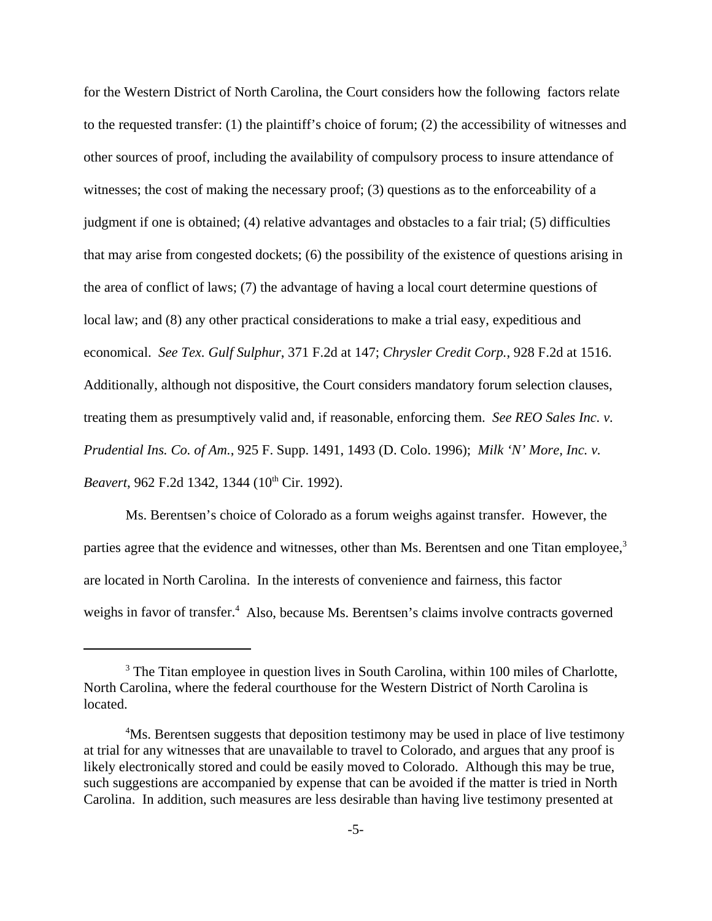for the Western District of North Carolina, the Court considers how the following factors relate to the requested transfer: (1) the plaintiff's choice of forum; (2) the accessibility of witnesses and other sources of proof, including the availability of compulsory process to insure attendance of witnesses; the cost of making the necessary proof; (3) questions as to the enforceability of a judgment if one is obtained; (4) relative advantages and obstacles to a fair trial; (5) difficulties that may arise from congested dockets; (6) the possibility of the existence of questions arising in the area of conflict of laws; (7) the advantage of having a local court determine questions of local law; and (8) any other practical considerations to make a trial easy, expeditious and economical. *See Tex. Gulf Sulphur*, 371 F.2d at 147; *Chrysler Credit Corp.*, 928 F.2d at 1516. Additionally, although not dispositive, the Court considers mandatory forum selection clauses, treating them as presumptively valid and, if reasonable, enforcing them. *See REO Sales Inc. v. Prudential Ins. Co. of Am.*, 925 F. Supp. 1491, 1493 (D. Colo. 1996); *Milk 'N' More, Inc. v. Beavert*, 962 F.2d 1342, 1344 (10<sup>th</sup> Cir. 1992).

Ms. Berentsen's choice of Colorado as a forum weighs against transfer. However, the parties agree that the evidence and witnesses, other than Ms. Berentsen and one Titan employee, $3$ are located in North Carolina. In the interests of convenience and fairness, this factor weighs in favor of transfer.<sup>4</sup> Also, because Ms. Berentsen's claims involve contracts governed

<sup>&</sup>lt;sup>3</sup> The Titan employee in question lives in South Carolina, within 100 miles of Charlotte, North Carolina, where the federal courthouse for the Western District of North Carolina is located.

<sup>&</sup>lt;sup>4</sup>Ms. Berentsen suggests that deposition testimony may be used in place of live testimony at trial for any witnesses that are unavailable to travel to Colorado, and argues that any proof is likely electronically stored and could be easily moved to Colorado. Although this may be true, such suggestions are accompanied by expense that can be avoided if the matter is tried in North Carolina. In addition, such measures are less desirable than having live testimony presented at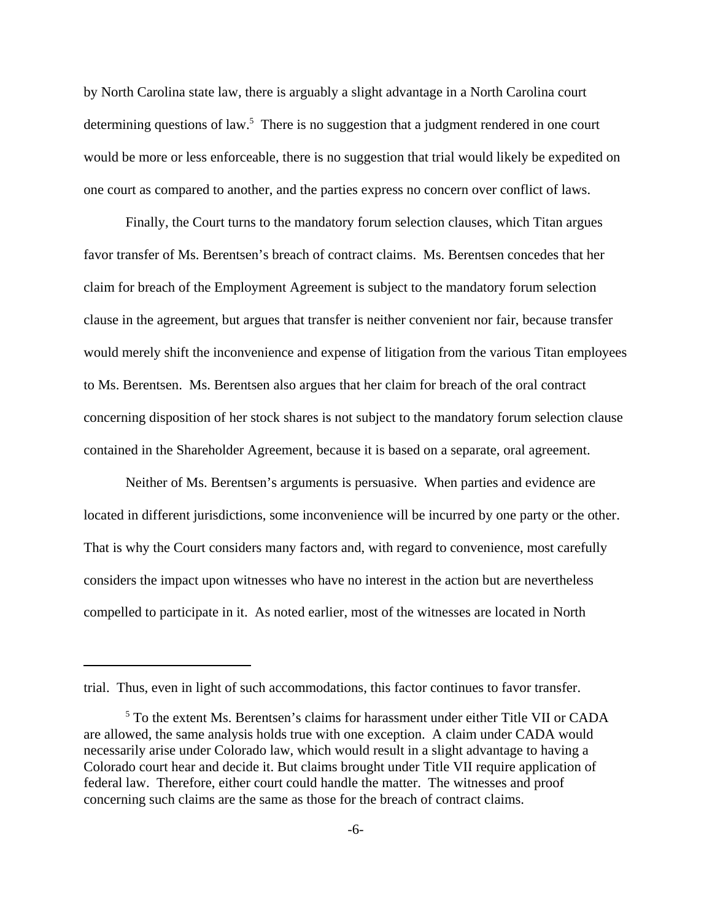by North Carolina state law, there is arguably a slight advantage in a North Carolina court determining questions of law.<sup>5</sup> There is no suggestion that a judgment rendered in one court would be more or less enforceable, there is no suggestion that trial would likely be expedited on one court as compared to another, and the parties express no concern over conflict of laws.

Finally, the Court turns to the mandatory forum selection clauses, which Titan argues favor transfer of Ms. Berentsen's breach of contract claims. Ms. Berentsen concedes that her claim for breach of the Employment Agreement is subject to the mandatory forum selection clause in the agreement, but argues that transfer is neither convenient nor fair, because transfer would merely shift the inconvenience and expense of litigation from the various Titan employees to Ms. Berentsen. Ms. Berentsen also argues that her claim for breach of the oral contract concerning disposition of her stock shares is not subject to the mandatory forum selection clause contained in the Shareholder Agreement, because it is based on a separate, oral agreement.

Neither of Ms. Berentsen's arguments is persuasive. When parties and evidence are located in different jurisdictions, some inconvenience will be incurred by one party or the other. That is why the Court considers many factors and, with regard to convenience, most carefully considers the impact upon witnesses who have no interest in the action but are nevertheless compelled to participate in it. As noted earlier, most of the witnesses are located in North

trial. Thus, even in light of such accommodations, this factor continues to favor transfer.

<sup>&</sup>lt;sup>5</sup> To the extent Ms. Berentsen's claims for harassment under either Title VII or CADA are allowed, the same analysis holds true with one exception. A claim under CADA would necessarily arise under Colorado law, which would result in a slight advantage to having a Colorado court hear and decide it. But claims brought under Title VII require application of federal law. Therefore, either court could handle the matter. The witnesses and proof concerning such claims are the same as those for the breach of contract claims.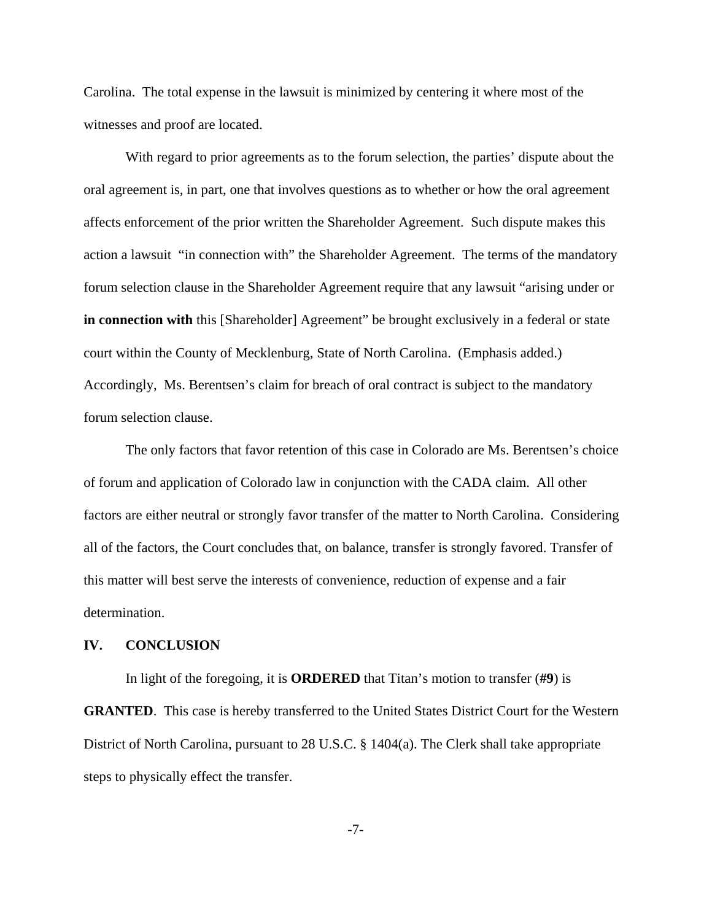Carolina. The total expense in the lawsuit is minimized by centering it where most of the witnesses and proof are located.

With regard to prior agreements as to the forum selection, the parties' dispute about the oral agreement is, in part, one that involves questions as to whether or how the oral agreement affects enforcement of the prior written the Shareholder Agreement. Such dispute makes this action a lawsuit "in connection with" the Shareholder Agreement. The terms of the mandatory forum selection clause in the Shareholder Agreement require that any lawsuit "arising under or **in connection with** this [Shareholder] Agreement" be brought exclusively in a federal or state court within the County of Mecklenburg, State of North Carolina. (Emphasis added.) Accordingly, Ms. Berentsen's claim for breach of oral contract is subject to the mandatory forum selection clause.

The only factors that favor retention of this case in Colorado are Ms. Berentsen's choice of forum and application of Colorado law in conjunction with the CADA claim. All other factors are either neutral or strongly favor transfer of the matter to North Carolina. Considering all of the factors, the Court concludes that, on balance, transfer is strongly favored. Transfer of this matter will best serve the interests of convenience, reduction of expense and a fair determination.

## **IV. CONCLUSION**

In light of the foregoing, it is **ORDERED** that Titan's motion to transfer (**#9**) is **GRANTED**. This case is hereby transferred to the United States District Court for the Western District of North Carolina, pursuant to 28 U.S.C. § 1404(a). The Clerk shall take appropriate steps to physically effect the transfer.

-7-